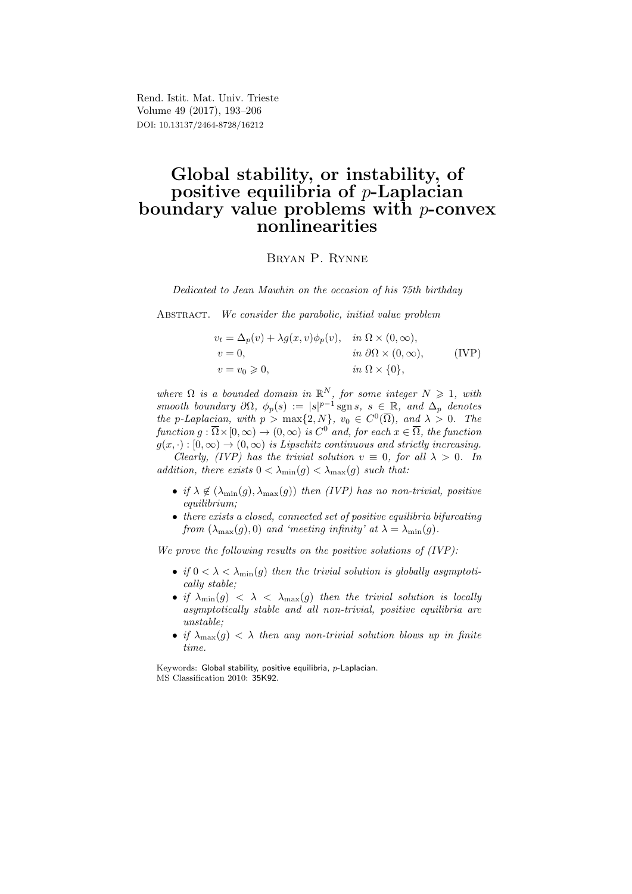Rend. Istit. Mat. Univ. Trieste Volume 49 (2017), 193–206 DOI: 10.13137/2464-8728/16212

# Global stability, or instability, of positive equilibria of  $p\text{-Laplacian}$ boundary value problems with  $p$ -convex nonlinearities

## Bryan P. Rynne

Dedicated to Jean Mawhin on the occasion of his 75th birthday

ABSTRACT. We consider the parabolic, initial value problem

$$
v_t = \Delta_p(v) + \lambda g(x, v)\phi_p(v), \quad in \ \Omega \times (0, \infty),
$$
  
\n
$$
v = 0, \qquad in \ \partial\Omega \times (0, \infty),
$$
  
\n
$$
v = v_0 \ge 0, \qquad in \ \Omega \times \{0\},
$$
  
\n(IVP)

where  $\Omega$  is a bounded domain in  $\mathbb{R}^N$ , for some integer  $N \geq 1$ , with smooth boundary  $\partial\Omega$ ,  $\phi_p(s) := |s|^{p-1}$  sgns,  $s \in \mathbb{R}$ , and  $\Delta_p$  denotes the p-Laplacian, with  $p > max\{2, N\}$ ,  $v_0 \in C^0(\overline{\Omega})$ , and  $\lambda > 0$ . The function  $g : \overline{\Omega} \times [0, \infty) \to (0, \infty)$  is  $C^0$  and, for each  $x \in \overline{\Omega}$ , the function  $g(x, \cdot) : [0, \infty) \to (0, \infty)$  is Lipschitz continuous and strictly increasing.

Clearly, (IVP) has the trivial solution  $v \equiv 0$ , for all  $\lambda > 0$ . In addition, there exists  $0 < \lambda_{\min}(g) < \lambda_{\max}(g)$  such that:

- if  $\lambda \notin (\lambda_{\min}(g), \lambda_{\max}(g))$  then (IVP) has no non-trivial, positive equilibrium;
- there exists a closed, connected set of positive equilibria bifurcating from  $(\lambda_{\text{max}}(q), 0)$  and 'meeting infinity' at  $\lambda = \lambda_{\text{min}}(q)$ .

We prove the following results on the positive solutions of  $(IVP)$ :

- if  $0 < \lambda < \lambda_{\min}(g)$  then the trivial solution is globally asymptotically stable;
- if  $\lambda_{\min}(g)$  <  $\lambda$  <  $\lambda_{\max}(g)$  then the trivial solution is locally asymptotically stable and all non-trivial, positive equilibria are unstable;
- if  $\lambda_{\max}(g) < \lambda$  then any non-trivial solution blows up in finite time.

Keywords: Global stability, positive equilibria, p-Laplacian. MS Classification 2010: 35K92.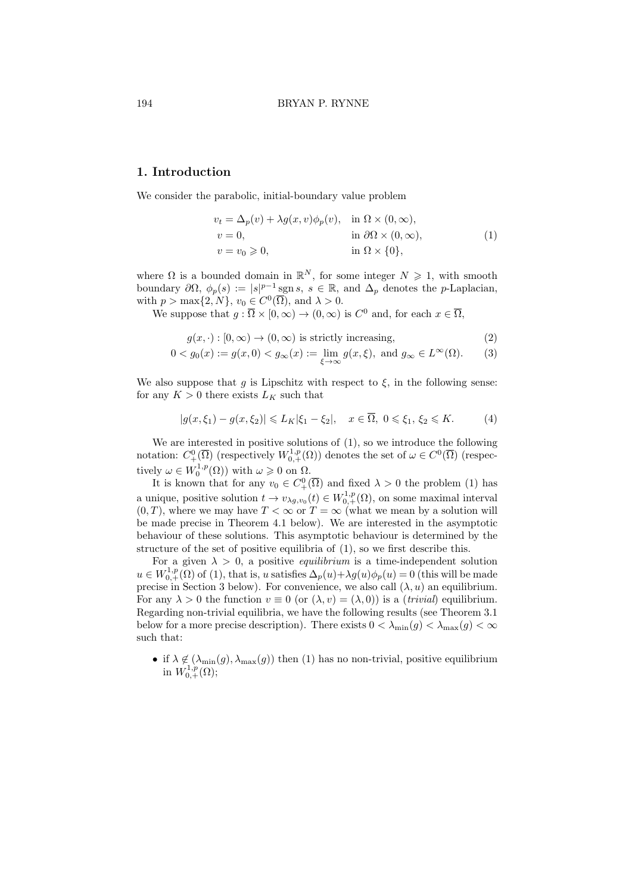# 1. Introduction

We consider the parabolic, initial-boundary value problem

$$
v_t = \Delta_p(v) + \lambda g(x, v)\phi_p(v), \text{ in } \Omega \times (0, \infty),
$$
  
\n
$$
v = 0, \text{ in } \partial\Omega \times (0, \infty),
$$
  
\n
$$
v = v_0 \ge 0, \text{ in } \Omega \times \{0\},
$$
  
\n(1)

where  $\Omega$  is a bounded domain in  $\mathbb{R}^N$ , for some integer  $N \geq 1$ , with smooth boundary  $\partial\Omega$ ,  $\phi_p(s) := |s|^{p-1}$  sgn s,  $s \in \mathbb{R}$ , and  $\Delta_p$  denotes the p-Laplacian, with  $p > \max\{2, N\}, v_0 \in C^0(\overline{\Omega})$ , and  $\lambda > 0$ .

We suppose that  $g : \overline{\Omega} \times [0, \infty) \to (0, \infty)$  is  $C^0$  and, for each  $x \in \overline{\Omega}$ ,

$$
g(x, \cdot) : [0, \infty) \to (0, \infty) \text{ is strictly increasing}, \tag{2}
$$

$$
0 < g_0(x) := g(x, 0) < g_\infty(x) := \lim_{\xi \to \infty} g(x, \xi), \text{ and } g_\infty \in L^\infty(\Omega). \tag{3}
$$

We also suppose that g is Lipschitz with respect to  $\xi$ , in the following sense: for any  $K > 0$  there exists  $L_K$  such that

$$
|g(x,\xi_1)-g(x,\xi_2)|\leqslant L_K|\xi_1-\xi_2|,\quad x\in\overline{\Omega},\ 0\leqslant\xi_1,\,\xi_2\leqslant K.\tag{4}
$$

We are interested in positive solutions of (1), so we introduce the following notation:  $C^0_+(\overline{\Omega})$  (respectively  $W^{1,p}_{0,+}(\Omega)$ ) denotes the set of  $\omega \in C^0(\overline{\Omega})$  (respectively  $\omega \in W_0^{1,p}(\Omega)$  with  $\omega \geq 0$  on  $\Omega$ .

It is known that for any  $v_0 \in C^0_+(\overline{\Omega})$  and fixed  $\lambda > 0$  the problem (1) has a unique, positive solution  $t \to v_{\lambda g, v_0}(t) \in W^{1,p}_{0,+}(\Omega)$ , on some maximal interval  $(0, T)$ , where we may have  $T < \infty$  or  $T = \infty$  (what we mean by a solution will be made precise in Theorem 4.1 below). We are interested in the asymptotic behaviour of these solutions. This asymptotic behaviour is determined by the structure of the set of positive equilibria of (1), so we first describe this.

For a given  $\lambda > 0$ , a positive *equilibrium* is a time-independent solution  $u \in W^{1,p}_{0,+}(\Omega)$  of (1), that is, u satisfies  $\Delta_p(u) + \lambda g(u)\phi_p(u) = 0$  (this will be made precise in Section 3 below). For convenience, we also call  $(\lambda, u)$  an equilibrium. For any  $\lambda > 0$  the function  $v \equiv 0$  (or  $(\lambda, v) = (\lambda, 0)$ ) is a *(trivial)* equilibrium. Regarding non-trivial equilibria, we have the following results (see Theorem 3.1 below for a more precise description). There exists  $0 < \lambda_{\min}(q) < \lambda_{\max}(q) < \infty$ such that:

• if  $\lambda \notin (\lambda_{\min}(g), \lambda_{\max}(g))$  then (1) has no non-trivial, positive equilibrium in  $W^{1,p}_{0,+}(\Omega);$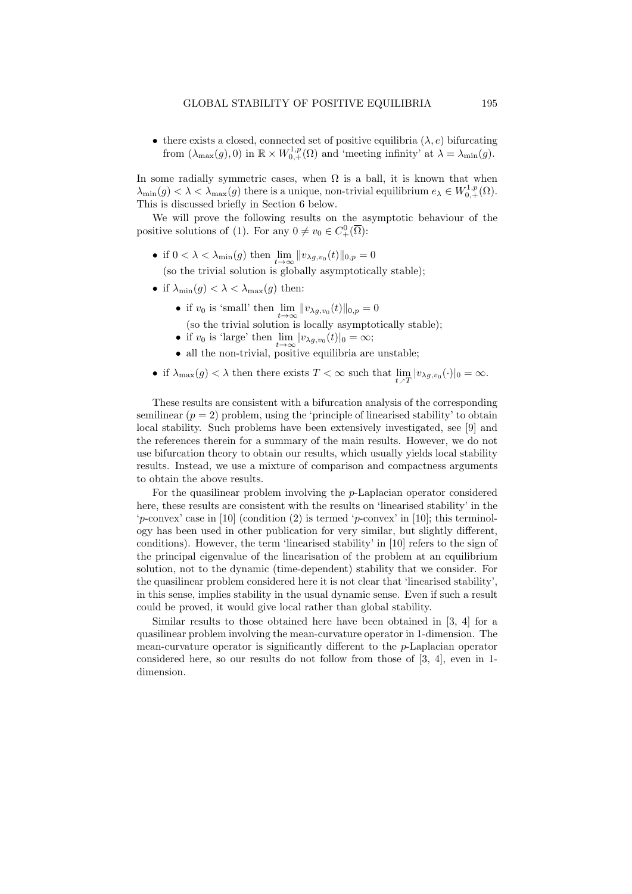• there exists a closed, connected set of positive equilibria  $(\lambda, e)$  bifurcating from  $(\lambda_{\max}(g), 0)$  in  $\mathbb{R} \times W^{1,p}_{0,+}(\Omega)$  and 'meeting infinity' at  $\lambda = \lambda_{\min}(g)$ .

In some radially symmetric cases, when  $\Omega$  is a ball, it is known that when  $\lambda_{\min}(g) < \lambda < \lambda_{\max}(g)$  there is a unique, non-trivial equilibrium  $e_{\lambda} \in W^{1,p}_{0,+}(\Omega)$ . This is discussed briefly in Section 6 below.

We will prove the following results on the asymptotic behaviour of the positive solutions of (1). For any  $0 \neq v_0 \in C^0_+(\overline{\Omega})$ :

• if  $0 < \lambda < \lambda_{\min}(g)$  then  $\lim_{t \to \infty} ||v_{\lambda g,v_0}(t)||_{0,p} = 0$ 

(so the trivial solution is globally asymptotically stable);

- if  $\lambda_{\min}(g) < \lambda < \lambda_{\max}(g)$  then:
	- if  $v_0$  is 'small' then  $\lim_{t\to\infty} ||v_{\lambda g,v_0}(t)||_{0,p} = 0$ (so the trivial solution is locally asymptotically stable);
	- if  $v_0$  is 'large' then  $\lim_{t\to\infty} |v_{\lambda g,v_0}(t)|_0 = \infty;$
	- all the non-trivial, positive equilibria are unstable;
- if  $\lambda_{\max}(g) < \lambda$  then there exists  $T < \infty$  such that  $\lim_{t \nearrow T} |v_{\lambda g, v_0}(\cdot)|_0 = \infty$ .

These results are consistent with a bifurcation analysis of the corresponding semilinear  $(p = 2)$  problem, using the 'principle of linearised stability' to obtain local stability. Such problems have been extensively investigated, see [9] and the references therein for a summary of the main results. However, we do not use bifurcation theory to obtain our results, which usually yields local stability results. Instead, we use a mixture of comparison and compactness arguments to obtain the above results.

For the quasilinear problem involving the p-Laplacian operator considered here, these results are consistent with the results on 'linearised stability' in the 'p-convex' case in [10] (condition (2) is termed 'p-convex' in [10]; this terminology has been used in other publication for very similar, but slightly different, conditions). However, the term 'linearised stability' in [10] refers to the sign of the principal eigenvalue of the linearisation of the problem at an equilibrium solution, not to the dynamic (time-dependent) stability that we consider. For the quasilinear problem considered here it is not clear that 'linearised stability', in this sense, implies stability in the usual dynamic sense. Even if such a result could be proved, it would give local rather than global stability.

Similar results to those obtained here have been obtained in [3, 4] for a quasilinear problem involving the mean-curvature operator in 1-dimension. The mean-curvature operator is significantly different to the p-Laplacian operator considered here, so our results do not follow from those of [3, 4], even in 1 dimension.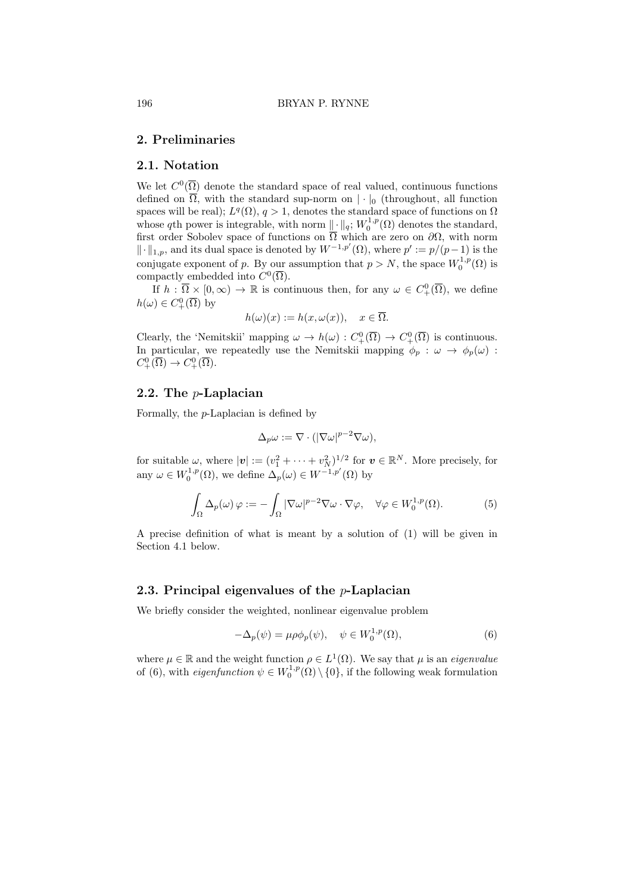# 2. Preliminaries

# 2.1. Notation

We let  $C^0(\overline{\Omega})$  denote the standard space of real valued, continuous functions defined on  $\overline{\Omega}$ , with the standard sup-norm on  $|\cdot|_0$  (throughout, all function spaces will be real);  $L^q(\Omega)$ ,  $q > 1$ , denotes the standard space of functions on  $\Omega$ whose qth power is integrable, with norm  $\|\cdot\|_q$ ;  $W_0^{1,p}(\Omega)$  denotes the standard, first order Sobolev space of functions on  $\Omega$  which are zero on  $\partial\Omega$ , with norm  $\|\cdot\|_{1,p}$ , and its dual space is denoted by  $W^{-1,p'}(\Omega)$ , where  $p' := p/(p-1)$  is the conjugate exponent of p. By our assumption that  $p > N$ , the space  $W_0^{1,p}(\Omega)$  is compactly embedded into  $C^0(\overline{\Omega})$ .

If  $h: \overline{\Omega} \times [0, \infty) \to \mathbb{R}$  is continuous then, for any  $\omega \in C^0_+(\overline{\Omega})$ , we define  $h(\omega) \in C^0_+(\overline{\Omega})$  by

$$
h(\omega)(x) := h(x, \omega(x)), \quad x \in \overline{\Omega}.
$$

Clearly, the 'Nemitskii' mapping  $\omega \to h(\omega) : C^0_+(\overline{\Omega}) \to C^0_+(\overline{\Omega})$  is continuous. In particular, we repeatedly use the Nemitskii mapping  $\phi_p : \omega \to \phi_p(\omega)$ :  $C^0_+(\overline{\Omega}) \to C^0_+(\overline{\Omega}).$ 

# 2.2. The p-Laplacian

Formally, the p-Laplacian is defined by

$$
\Delta_p \omega := \nabla \cdot (|\nabla \omega|^{p-2} \nabla \omega),
$$

for suitable  $\omega$ , where  $|\mathbf{v}| := (v_1^2 + \cdots + v_N^2)^{1/2}$  for  $\mathbf{v} \in \mathbb{R}^N$ . More precisely, for any  $\omega \in W_0^{1,p}(\Omega)$ , we define  $\Delta_p(\omega) \in W^{-1,p'}(\Omega)$  by

$$
\int_{\Omega} \Delta_p(\omega) \varphi := -\int_{\Omega} |\nabla \omega|^{p-2} \nabla \omega \cdot \nabla \varphi, \quad \forall \varphi \in W_0^{1,p}(\Omega). \tag{5}
$$

A precise definition of what is meant by a solution of (1) will be given in Section 4.1 below.

### 2.3. Principal eigenvalues of the p-Laplacian

We briefly consider the weighted, nonlinear eigenvalue problem

$$
-\Delta_p(\psi) = \mu \rho \phi_p(\psi), \quad \psi \in W_0^{1,p}(\Omega), \tag{6}
$$

where  $\mu \in \mathbb{R}$  and the weight function  $\rho \in L^1(\Omega)$ . We say that  $\mu$  is an *eigenvalue* of (6), with *eigenfunction*  $\psi \in W_0^{1,p}(\Omega) \setminus \{0\}$ , if the following weak formulation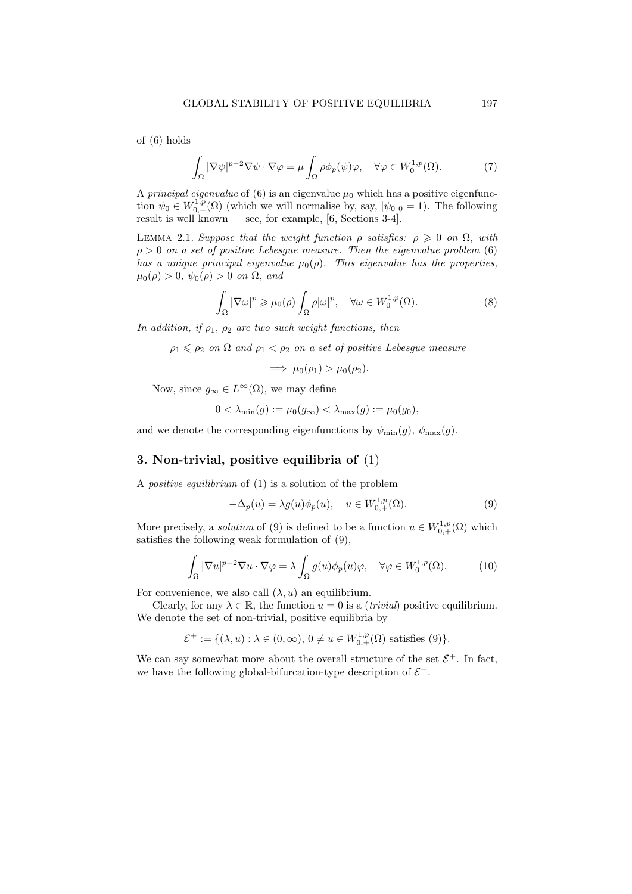of (6) holds

$$
\int_{\Omega} |\nabla \psi|^{p-2} \nabla \psi \cdot \nabla \varphi = \mu \int_{\Omega} \rho \phi_p(\psi) \varphi, \quad \forall \varphi \in W_0^{1,p}(\Omega). \tag{7}
$$

A *principal eigenvalue* of (6) is an eigenvalue  $\mu_0$  which has a positive eigenfunction  $\psi_0 \in W^{1,p}_{0,+}(\Omega)$  (which we will normalise by, say,  $|\psi_0|_0 = 1$ ). The following result is well known — see, for example, [6, Sections 3-4].

LEMMA 2.1. Suppose that the weight function  $\rho$  satisfies:  $\rho \geq 0$  on  $\Omega$ , with  $\rho > 0$  on a set of positive Lebesgue measure. Then the eigenvalue problem (6) has a unique principal eigenvalue  $\mu_0(\rho)$ . This eigenvalue has the properties,  $\mu_0(\rho) > 0$ ,  $\psi_0(\rho) > 0$  on  $\Omega$ , and

$$
\int_{\Omega} |\nabla \omega|^p \ge \mu_0(\rho) \int_{\Omega} \rho |\omega|^p, \quad \forall \omega \in W_0^{1,p}(\Omega). \tag{8}
$$

In addition, if  $\rho_1$ ,  $\rho_2$  are two such weight functions, then

 $\rho_1 \leq \rho_2$  on  $\Omega$  and  $\rho_1 < \rho_2$  on a set of positive Lebesgue measure

 $\implies \mu_0(\rho_1) > \mu_0(\rho_2).$ 

Now, since  $g_{\infty} \in L^{\infty}(\Omega)$ , we may define

$$
0 < \lambda_{\min}(g) := \mu_0(g_{\infty}) < \lambda_{\max}(g) := \mu_0(g_0),
$$

and we denote the corresponding eigenfunctions by  $\psi_{\min}(g)$ ,  $\psi_{\max}(g)$ .

# 3. Non-trivial, positive equilibria of (1)

A positive equilibrium of (1) is a solution of the problem

$$
-\Delta_p(u) = \lambda g(u)\phi_p(u), \quad u \in W^{1,p}_{0,+}(\Omega). \tag{9}
$$

More precisely, a *solution* of (9) is defined to be a function  $u \in W^{1,p}_{0,+}(\Omega)$  which satisfies the following weak formulation of (9),

$$
\int_{\Omega} |\nabla u|^{p-2} \nabla u \cdot \nabla \varphi = \lambda \int_{\Omega} g(u) \phi_p(u) \varphi, \quad \forall \varphi \in W_0^{1,p}(\Omega). \tag{10}
$$

For convenience, we also call  $(\lambda, u)$  an equilibrium.

Clearly, for any  $\lambda \in \mathbb{R}$ , the function  $u = 0$  is a *(trivial)* positive equilibrium. We denote the set of non-trivial, positive equilibria by

$$
\mathcal{E}^+ := \{ (\lambda, u) : \lambda \in (0, \infty), 0 \neq u \in W^{1, p}_{0, +}(\Omega) \text{ satisfies } (9) \}.
$$

We can say somewhat more about the overall structure of the set  $\mathcal{E}^+$ . In fact, we have the following global-bifurcation-type description of  $\mathcal{E}^+$ .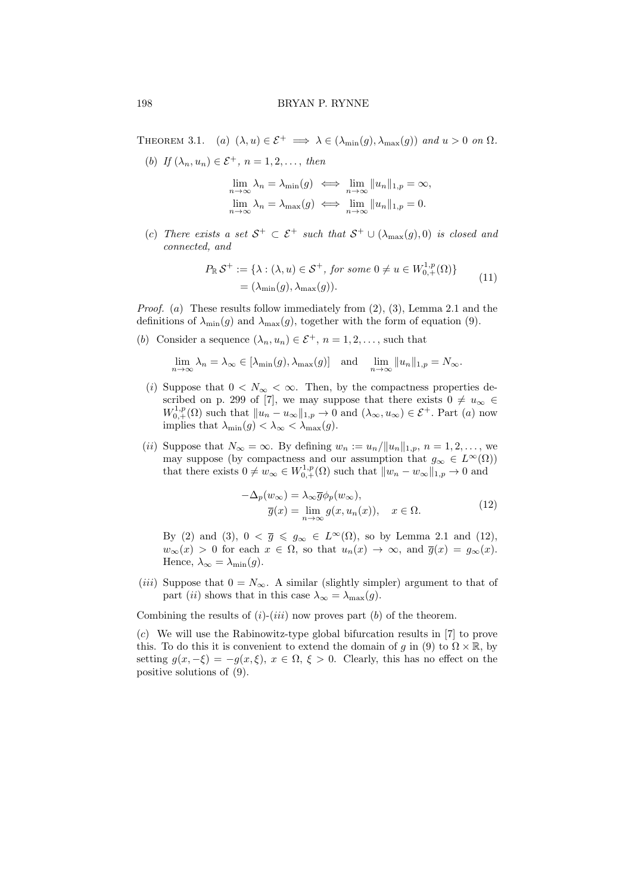THEOREM 3.1. (a)  $(\lambda, u) \in \mathcal{E}^+ \implies \lambda \in (\lambda_{\min}(g), \lambda_{\max}(g))$  and  $u > 0$  on  $\Omega$ .

(b) If  $(\lambda_n, u_n) \in \mathcal{E}^+$ ,  $n = 1, 2, \ldots$ , then

$$
\lim_{n \to \infty} \lambda_n = \lambda_{\min}(g) \iff \lim_{n \to \infty} ||u_n||_{1,p} = \infty,
$$
  

$$
\lim_{n \to \infty} \lambda_n = \lambda_{\max}(g) \iff \lim_{n \to \infty} ||u_n||_{1,p} = 0.
$$

(c) There exists a set  $S^+ \subset \mathcal{E}^+$  such that  $S^+ \cup (\lambda_{\max}(g), 0)$  is closed and connected, and

$$
P_{\mathbb{R}}\mathcal{S}^+ := \{ \lambda : (\lambda, u) \in \mathcal{S}^+, \text{ for some } 0 \neq u \in W_{0,+}^{1,p}(\Omega) \}
$$
  
=  $(\lambda_{\min}(g), \lambda_{\max}(g)).$  (11)

*Proof.* (a) These results follow immediately from  $(2)$ ,  $(3)$ , Lemma 2.1 and the definitions of  $\lambda_{\min}(g)$  and  $\lambda_{\max}(g)$ , together with the form of equation (9).

(b) Consider a sequence  $(\lambda_n, u_n) \in \mathcal{E}^+, n = 1, 2, \dots$ , such that

$$
\lim_{n \to \infty} \lambda_n = \lambda_\infty \in [\lambda_{\min}(g), \lambda_{\max}(g)] \text{ and } \lim_{n \to \infty} ||u_n||_{1,p} = N_\infty.
$$

- (i) Suppose that  $0 < N_{\infty} < \infty$ . Then, by the compactness properties described on p. 299 of [7], we may suppose that there exists  $0 \neq u_{\infty} \in$  $W^{1,p}_{0,+}(\Omega)$  such that  $||u_n - u_\infty||_{1,p} \to 0$  and  $(\lambda_\infty, u_\infty) \in \mathcal{E}^+$ . Part  $(a)$  now implies that  $\lambda_{\min}(g) < \lambda_{\infty} < \lambda_{\max}(g)$ .
- (ii) Suppose that  $N_{\infty} = \infty$ . By defining  $w_n := u_n / ||u_n||_{1,p}, n = 1, 2, \ldots$ , we may suppose (by compactness and our assumption that  $g_{\infty} \in L^{\infty}(\Omega)$ ) that there exists  $0 \neq w_\infty \in W^{1,p}_{0,+}(\Omega)$  such that  $||w_n - w_\infty||_{1,p} \to 0$  and

$$
-\Delta_p(w_\infty) = \lambda_\infty \overline{g} \phi_p(w_\infty),
$$
  
\n
$$
\overline{g}(x) = \lim_{n \to \infty} g(x, u_n(x)), \quad x \in \Omega.
$$
\n(12)

By (2) and (3),  $0 < \overline{g} \leq g_{\infty} \in L^{\infty}(\Omega)$ , so by Lemma 2.1 and (12),  $w_{\infty}(x) > 0$  for each  $x \in \Omega$ , so that  $u_n(x) \to \infty$ , and  $\overline{g}(x) = g_{\infty}(x)$ . Hence,  $\lambda_{\infty} = \lambda_{\min}(g)$ .

(*iii*) Suppose that  $0 = N_{\infty}$ . A similar (slightly simpler) argument to that of part (ii) shows that in this case  $\lambda_{\infty} = \lambda_{\max}(g)$ .

Combining the results of  $(i)-(iii)$  now proves part  $(b)$  of the theorem.

(c) We will use the Rabinowitz-type global bifurcation results in [7] to prove this. To do this it is convenient to extend the domain of q in (9) to  $\Omega \times \mathbb{R}$ , by setting  $g(x, -\xi) = -g(x, \xi), x \in \Omega, \xi > 0$ . Clearly, this has no effect on the positive solutions of (9).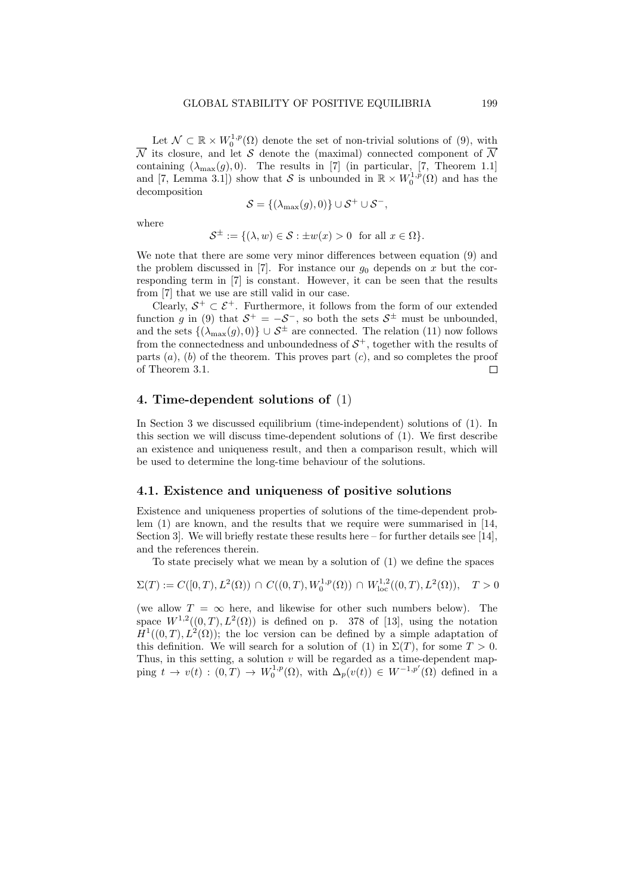Let  $\mathcal{N} \subset \mathbb{R} \times W_0^{1,p}(\Omega)$  denote the set of non-trivial solutions of (9), with  $\overline{N}$  its closure, and let S denote the (maximal) connected component of  $\overline{N}$ containing  $(\lambda_{\text{max}}(g), 0)$ . The results in [7] (in particular, [7, Theorem 1.1] and [7, Lemma 3.1]) show that S is unbounded in  $\mathbb{R} \times W_0^{1,p}(\Omega)$  and has the decomposition

$$
\mathcal{S} = \{(\lambda_{\max}(g), 0)\} \cup \mathcal{S}^+ \cup \mathcal{S}^-,
$$

where

$$
\mathcal{S}^{\pm} := \{ (\lambda, w) \in \mathcal{S} : \pm w(x) > 0 \text{ for all } x \in \Omega \}.
$$

We note that there are some very minor differences between equation (9) and the problem discussed in  $[7]$ . For instance our  $g_0$  depends on x but the corresponding term in [7] is constant. However, it can be seen that the results from [7] that we use are still valid in our case.

Clearly,  $S^+ \subset \mathcal{E}^+$ . Furthermore, it follows from the form of our extended function g in (9) that  $S^+ = -S^-$ , so both the sets  $S^{\pm}$  must be unbounded, and the sets  $\{(\lambda_{\max}(g), 0)\}\cup \mathcal{S}^{\pm}$  are connected. The relation (11) now follows from the connectedness and unboundedness of  $S^+$ , together with the results of parts  $(a)$ ,  $(b)$  of the theorem. This proves part  $(c)$ , and so completes the proof of Theorem 3.1.  $\Box$ 

# 4. Time-dependent solutions of (1)

In Section 3 we discussed equilibrium (time-independent) solutions of (1). In this section we will discuss time-dependent solutions of (1). We first describe an existence and uniqueness result, and then a comparison result, which will be used to determine the long-time behaviour of the solutions.

### 4.1. Existence and uniqueness of positive solutions

Existence and uniqueness properties of solutions of the time-dependent problem (1) are known, and the results that we require were summarised in [14, Section 3. We will briefly restate these results here – for further details see [14]. and the references therein.

To state precisely what we mean by a solution of (1) we define the spaces

$$
\Sigma(T) := C([0,T), L^2(\Omega)) \cap C((0,T), W_0^{1,p}(\Omega)) \cap W_{\text{loc}}^{1,2}((0,T), L^2(\Omega)), \quad T > 0
$$

(we allow  $T = \infty$  here, and likewise for other such numbers below). The space  $W^{1,2}((0,T), L^2(\Omega))$  is defined on p. 378 of [13], using the notation  $H^1((0,T), L^2(\Omega))$ ; the loc version can be defined by a simple adaptation of this definition. We will search for a solution of (1) in  $\Sigma(T)$ , for some  $T > 0$ . Thus, in this setting, a solution  $v$  will be regarded as a time-dependent mapping  $t \to v(t) : (0,T) \to W_0^{1,p}(\Omega)$ , with  $\Delta_p(v(t)) \in W^{-1,p'}(\Omega)$  defined in a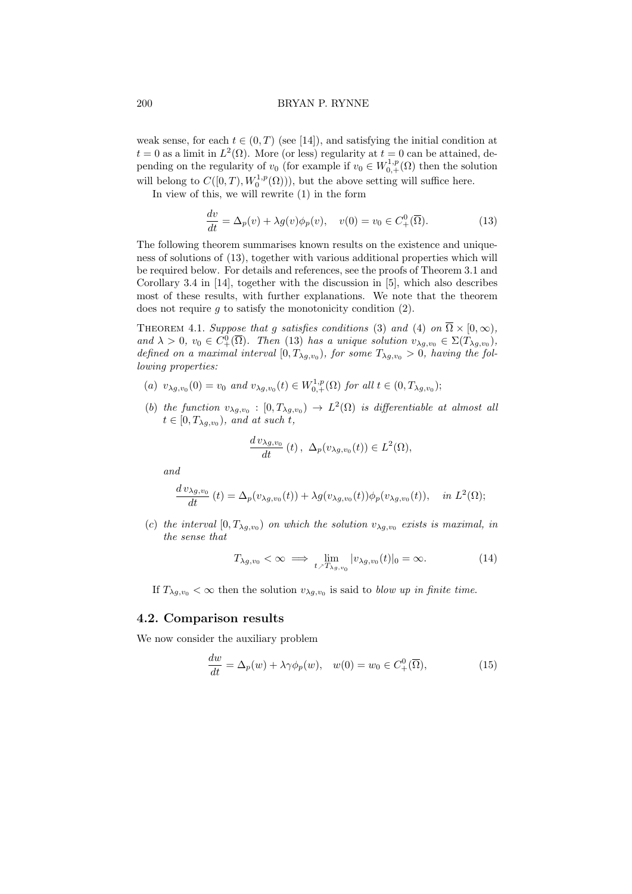weak sense, for each  $t \in (0, T)$  (see [14]), and satisfying the initial condition at  $t = 0$  as a limit in  $L^2(\Omega)$ . More (or less) regularity at  $t = 0$  can be attained, depending on the regularity of  $v_0$  (for example if  $v_0 \in W^{1,p}_{0,+}(\Omega)$  then the solution will belong to  $C([0,T), W_0^{1,p}(\Omega))$ , but the above setting will suffice here.

In view of this, we will rewrite (1) in the form

$$
\frac{dv}{dt} = \Delta_p(v) + \lambda g(v)\phi_p(v), \quad v(0) = v_0 \in C^0_+(\overline{\Omega}).
$$
\n(13)

The following theorem summarises known results on the existence and uniqueness of solutions of (13), together with various additional properties which will be required below. For details and references, see the proofs of Theorem 3.1 and Corollary 3.4 in [14], together with the discussion in [5], which also describes most of these results, with further explanations. We note that the theorem does not require q to satisfy the monotonicity condition  $(2)$ .

THEOREM 4.1. Suppose that g satisfies conditions (3) and (4) on  $\overline{\Omega} \times [0, \infty)$ , and  $\lambda > 0$ ,  $v_0 \in C^0_+(\overline{\Omega})$ . Then (13) has a unique solution  $v_{\lambda g,v_0} \in \Sigma(T_{\lambda g,v_0})$ , defined on a maximal interval  $[0, T_{\lambda g, v_0})$ , for some  $T_{\lambda g, v_0} > 0$ , having the following properties:

- (a)  $v_{\lambda g, v_0}(0) = v_0$  and  $v_{\lambda g, v_0}(t) \in W^{1, p}_{0, +}(\Omega)$  for all  $t \in (0, T_{\lambda g, v_0})$ ;
- (b) the function  $v_{\lambda g,v_0} : [0, T_{\lambda g,v_0}) \to L^2(\Omega)$  is differentiable at almost all  $t \in [0, T_{\lambda g, v_0}),$  and at such t,

$$
\frac{d v_{\lambda g, v_0}}{dt}(t), \ \Delta_p(v_{\lambda g, v_0}(t)) \in L^2(\Omega),
$$

and

$$
\frac{d v_{\lambda g,v_0}}{dt}(t) = \Delta_p(v_{\lambda g,v_0}(t)) + \lambda g(v_{\lambda g,v_0}(t))\phi_p(v_{\lambda g,v_0}(t)), \quad in \ L^2(\Omega);
$$

(c) the interval  $[0, T_{\lambda g, v_0})$  on which the solution  $v_{\lambda g, v_0}$  exists is maximal, in the sense that

$$
T_{\lambda g, v_0} < \infty \implies \lim_{t \nearrow T_{\lambda g, v_0}} |v_{\lambda g, v_0}(t)|_0 = \infty. \tag{14}
$$

If  $T_{\lambda g,v_0} < \infty$  then the solution  $v_{\lambda g,v_0}$  is said to *blow up in finite time*.

# 4.2. Comparison results

We now consider the auxiliary problem

$$
\frac{dw}{dt} = \Delta_p(w) + \lambda \gamma \phi_p(w), \quad w(0) = w_0 \in C^0_+(\overline{\Omega}), \tag{15}
$$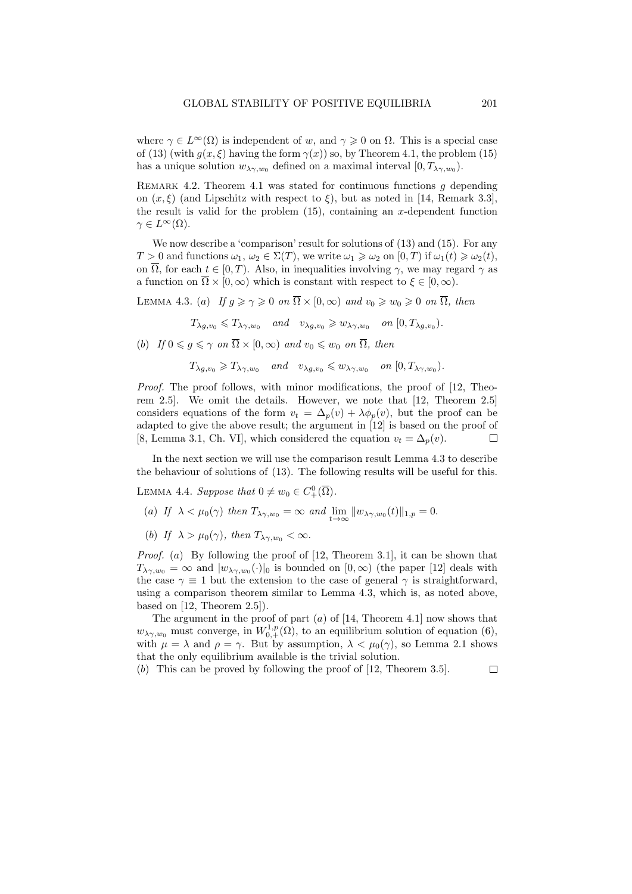where  $\gamma \in L^{\infty}(\Omega)$  is independent of w, and  $\gamma \geq 0$  on  $\Omega$ . This is a special case of (13) (with  $g(x, \xi)$  having the form  $\gamma(x)$ ) so, by Theorem 4.1, the problem (15) has a unique solution  $w_{\lambda\gamma,w_0}$  defined on a maximal interval  $[0,T_{\lambda\gamma,w_0})$ .

REMARK 4.2. Theorem 4.1 was stated for continuous functions  $g$  depending on  $(x,\xi)$  (and Lipschitz with respect to  $\xi$ ), but as noted in [14, Remark 3.3], the result is valid for the problem  $(15)$ , containing an x-dependent function  $\gamma \in L^{\infty}(\Omega)$ .

We now describe a 'comparison' result for solutions of  $(13)$  and  $(15)$ . For any  $T > 0$  and functions  $\omega_1, \omega_2 \in \Sigma(T)$ , we write  $\omega_1 \geq \omega_2$  on  $[0, T)$  if  $\omega_1(t) \geq \omega_2(t)$ , on  $\overline{\Omega}$ , for each  $t \in [0, T)$ . Also, in inequalities involving  $\gamma$ , we may regard  $\gamma$  as a function on  $\overline{\Omega} \times [0,\infty)$  which is constant with respect to  $\xi \in [0,\infty)$ .

LEMMA 4.3. (a) If  $q \ge \gamma \ge 0$  on  $\overline{\Omega} \times [0, \infty)$  and  $v_0 \ge w_0 \ge 0$  on  $\overline{\Omega}$ , then

 $T_{\lambda g,v_0} \leqslant T_{\lambda \gamma,w_0}$  and  $v_{\lambda g,v_0} \geqslant w_{\lambda \gamma,w_0}$  on  $[0,T_{\lambda g,v_0})$ .

(b) If  $0 \leq q \leq \gamma$  on  $\overline{\Omega} \times [0, \infty)$  and  $v_0 \leq w_0$  on  $\overline{\Omega}$ , then

$$
T_{\lambda g, v_0} \geqslant T_{\lambda \gamma, w_0} \quad \text{and} \quad v_{\lambda g, v_0} \leqslant w_{\lambda \gamma, w_0} \quad \text{on } [0, T_{\lambda \gamma, w_0}).
$$

Proof. The proof follows, with minor modifications, the proof of [12, Theorem 2.5]. We omit the details. However, we note that [12, Theorem 2.5] considers equations of the form  $v_t = \Delta_p(v) + \lambda \phi_p(v)$ , but the proof can be adapted to give the above result; the argument in [12] is based on the proof of [8, Lemma 3.1, Ch. VI], which considered the equation  $v_t = \Delta_p(v)$ .  $\Box$ 

In the next section we will use the comparison result Lemma 4.3 to describe the behaviour of solutions of (13). The following results will be useful for this.

LEMMA 4.4. Suppose that  $0 \neq w_0 \in C^0_+(\overline{\Omega})$ .

- (a) If  $\lambda < \mu_0(\gamma)$  then  $T_{\lambda\gamma,w_0} = \infty$  and  $\lim_{t\to\infty} ||w_{\lambda\gamma,w_0}(t)||_{1,p} = 0.$
- (b) If  $\lambda > \mu_0(\gamma)$ , then  $T_{\lambda \gamma, w_0} < \infty$ .

*Proof.* (a) By following the proof of [12, Theorem 3.1], it can be shown that  $T_{\lambda\gamma,w_0} = \infty$  and  $|w_{\lambda\gamma,w_0}(\cdot)|_0$  is bounded on  $[0,\infty)$  (the paper [12] deals with the case  $\gamma \equiv 1$  but the extension to the case of general  $\gamma$  is straightforward, using a comparison theorem similar to Lemma 4.3, which is, as noted above, based on [12, Theorem 2.5]).

The argument in the proof of part  $(a)$  of [14, Theorem 4.1] now shows that  $w_{\lambda\gamma,w_0}$  must converge, in  $W^{1,p}_{0,+}(\Omega)$ , to an equilibrium solution of equation (6), with  $\mu = \lambda$  and  $\rho = \gamma$ . But by assumption,  $\lambda < \mu_0(\gamma)$ , so Lemma 2.1 shows that the only equilibrium available is the trivial solution.

(b) This can be proved by following the proof of [12, Theorem 3.5]. $\Box$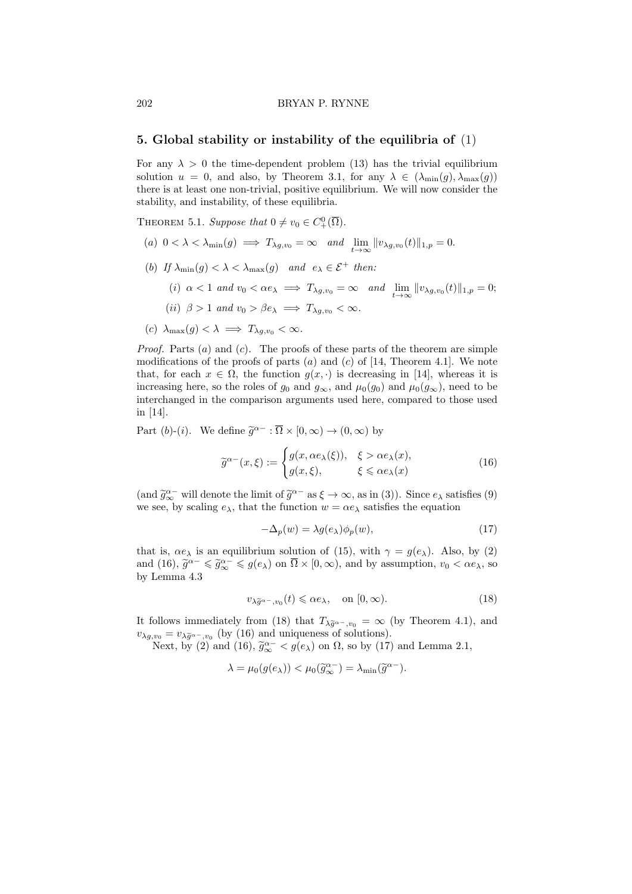#### 202 BRYAN P. RYNNE

## 5. Global stability or instability of the equilibria of (1)

For any  $\lambda > 0$  the time-dependent problem (13) has the trivial equilibrium solution  $u = 0$ , and also, by Theorem 3.1, for any  $\lambda \in (\lambda_{\min}(g), \lambda_{\max}(g))$ there is at least one non-trivial, positive equilibrium. We will now consider the stability, and instability, of these equilibria.

THEOREM 5.1. Suppose that  $0 \neq v_0 \in C^0_+(\overline{\Omega})$ .

- (a)  $0 < \lambda < \lambda_{\min}(g) \implies T_{\lambda g, v_0} = \infty$  and  $\lim_{t \to \infty} ||v_{\lambda g, v_0}(t)||_{1, p} = 0.$
- (b) If  $\lambda_{\min}(g) < \lambda < \lambda_{\max}(g)$  and  $e_{\lambda} \in \mathcal{E}^+$  then:
	- (i)  $\alpha < 1$  and  $v_0 < \alpha e_\lambda \implies T_{\lambda g,v_0} = \infty$  and  $\lim_{t \to \infty} ||v_{\lambda g,v_0}(t)||_{1,p} = 0;$
	- (ii)  $\beta > 1$  and  $v_0 > \beta e_\lambda \implies T_{\lambda q, v_0} < \infty$ .
- (c)  $\lambda_{\max}(g) < \lambda \implies T_{\lambda q,v_0} < \infty$ .

*Proof.* Parts  $(a)$  and  $(c)$ . The proofs of these parts of the theorem are simple modifications of the proofs of parts  $(a)$  and  $(c)$  of [14, Theorem 4.1]. We note that, for each  $x \in \Omega$ , the function  $g(x, \cdot)$  is decreasing in [14], whereas it is increasing here, so the roles of  $g_0$  and  $g_{\infty}$ , and  $\mu_0(g_0)$  and  $\mu_0(g_{\infty})$ , need to be interchanged in the comparison arguments used here, compared to those used in [14].

Part (b)-(i). We define  $\widetilde{g}^{\alpha-} : \overline{\Omega} \times [0, \infty) \to (0, \infty)$  by

$$
\widetilde{g}^{\alpha-}(x,\xi) := \begin{cases} g(x,\alpha e_{\lambda}(\xi)), & \xi > \alpha e_{\lambda}(x), \\ g(x,\xi), & \xi \leq \alpha e_{\lambda}(x) \end{cases}
$$
(16)

(and  $\tilde{g}_{\infty}^{\alpha-}$  will denote the limit of  $\tilde{g}^{\alpha-}$  as  $\xi \to \infty$ , as in (3)). Since  $e_{\lambda}$  satisfies (9) we see, by scaling  $e_{\lambda}$ , that the function  $w = \alpha e_{\lambda}$  satisfies the equation

$$
-\Delta_p(w) = \lambda g(e_\lambda)\phi_p(w),\tag{17}
$$

that is,  $\alpha e_\lambda$  is an equilibrium solution of (15), with  $\gamma = g(e_\lambda)$ . Also, by (2) and (16),  $\tilde{g}^{\alpha-} \leq \tilde{g}^{\alpha-} \leq g(e_\lambda)$  on  $\overline{\Omega} \times [0, \infty)$ , and by assumption,  $v_0 < \alpha e_\lambda$ , so by Lemma 4.3 by Lemma 4.3

$$
v_{\lambda \widetilde{g}^{\alpha-}, v_0}(t) \leqslant \alpha e_{\lambda}, \quad \text{on } [0, \infty). \tag{18}
$$

It follows immediately from (18) that  $T_{\lambda \tilde{g}^{\alpha}$ -,v<sub>0</sub> = ∞ (by Theorem 4.1), and  $v_{\lambda g, v_0} = v_{\lambda \tilde{g}^{\alpha_-}, v_0}$  (by (16) and uniqueness of solutions).<br>Next by (2) and (16)  $\tilde{g}^{\alpha_-} \leq g(\alpha_-)$  and  $\Omega_{\alpha}$  as by (17)

Next, by (2) and (16),  $\tilde{g}_{\infty}^{\alpha-} < g(e_{\lambda})$  on  $\Omega$ , so by (17) and Lemma 2.1,

$$
\lambda = \mu_0(g(e_{\lambda})) < \mu_0(\widetilde{g}_{\infty}^{\alpha-}) = \lambda_{\min}(\widetilde{g}^{\alpha-}).
$$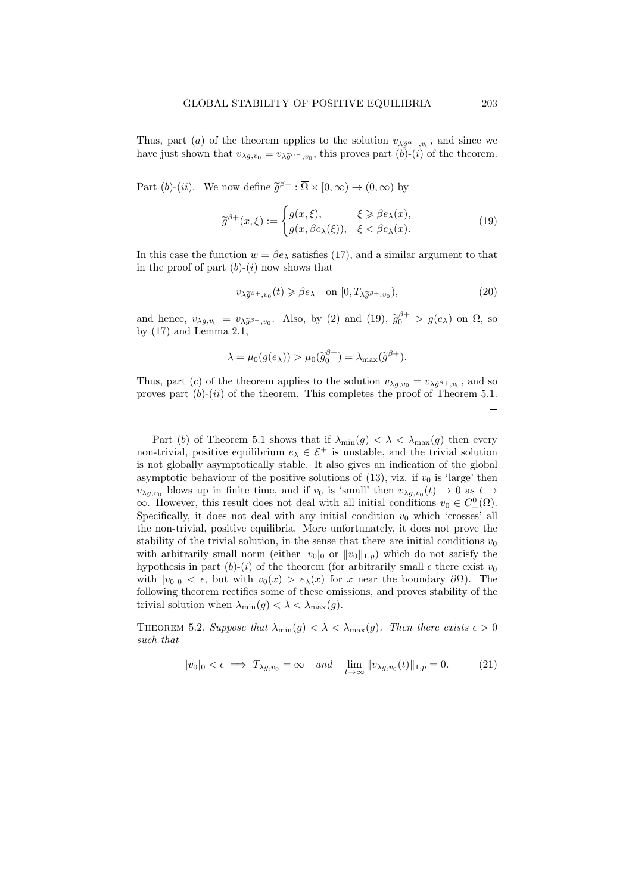Thus, part (a) of the theorem applies to the solution  $v_{\lambda \tilde{g}^{\alpha-},v_0}$ , and since we<br>have just above that  $v$ , we this proves part (b) (i) of the theorem have just shown that  $v_{\lambda g,v_0} = v_{\lambda \widetilde{g}^{\alpha-},v_0}$ , this proves part  $(b)-(i)$  of the theorem.

Part (b)-(ii). We now define  $\tilde{g}^{\beta+} : \overline{\Omega} \times [0, \infty) \to (0, \infty)$  by

$$
\widetilde{g}^{\beta+}(x,\xi) := \begin{cases} g(x,\xi), & \xi \ge \beta e_{\lambda}(x), \\ g(x,\beta e_{\lambda}(\xi)), & \xi < \beta e_{\lambda}(x). \end{cases}
$$
(19)

In this case the function  $w = \beta e_\lambda$  satisfies (17), and a similar argument to that in the proof of part  $(b)-(i)$  now shows that

$$
v_{\lambda \widetilde{g}^{\beta+}, v_0}(t) \geq \beta e_{\lambda} \quad \text{on } [0, T_{\lambda \widetilde{g}^{\beta+}, v_0}), \tag{20}
$$

and hence,  $v_{\lambda g, v_0} = v_{\lambda \tilde{g}^{\beta +}, v_0}$ . Also, by (2) and (19),  $\tilde{g}_0^{\beta +} > g(e_\lambda)$  on  $\Omega$ , so by (17) and Lamma 2.1 by (17) and Lemma 2.1,

$$
\lambda = \mu_0(g(e_{\lambda})) > \mu_0(\widetilde{g}_0^{\beta+}) = \lambda_{\max}(\widetilde{g}^{\beta+}).
$$

Thus, part (c) of the theorem applies to the solution  $v_{\lambda g, v_0} = v_{\lambda \tilde{g}} s_{+, v_0}$ , and so process part (b) (ii) of the theorem. This completes the proof of Theorem 5.1. proves part  $(b)-(ii)$  of the theorem. This completes the proof of Theorem 5.1.  $\Box$ 

Part (b) of Theorem 5.1 shows that if  $\lambda_{\min}(g) < \lambda < \lambda_{\max}(g)$  then every non-trivial, positive equilibrium  $e_{\lambda} \in \mathcal{E}^+$  is unstable, and the trivial solution is not globally asymptotically stable. It also gives an indication of the global asymptotic behaviour of the positive solutions of (13), viz. if  $v_0$  is 'large' then  $v_{\lambda g,v_0}$  blows up in finite time, and if  $v_0$  is 'small' then  $v_{\lambda g,v_0}(t) \to 0$  as  $t \to$  $\infty$ . However, this result does not deal with all initial conditions  $v_0 \in C^0_+(\overline{\Omega})$ . Specifically, it does not deal with any initial condition  $v_0$  which 'crosses' all the non-trivial, positive equilibria. More unfortunately, it does not prove the stability of the trivial solution, in the sense that there are initial conditions  $v_0$ with arbitrarily small norm (either  $|v_0|_0$  or  $||v_0||_{1,p}$ ) which do not satisfy the hypothesis in part  $(b)-(i)$  of the theorem (for arbitrarily small  $\epsilon$  there exist  $v_0$ with  $|v_0|_0 < \epsilon$ , but with  $v_0(x) > e_\lambda(x)$  for x near the boundary  $\partial\Omega$ ). The following theorem rectifies some of these omissions, and proves stability of the trivial solution when  $\lambda_{\min}(g) < \lambda < \lambda_{\max}(g)$ .

THEOREM 5.2. Suppose that  $\lambda_{\min}(g) < \lambda < \lambda_{\max}(g)$ . Then there exists  $\epsilon > 0$ such that

$$
|v_0|_0 < \epsilon \implies T_{\lambda g, v_0} = \infty \quad and \quad \lim_{t \to \infty} ||v_{\lambda g, v_0}(t)||_{1, p} = 0. \tag{21}
$$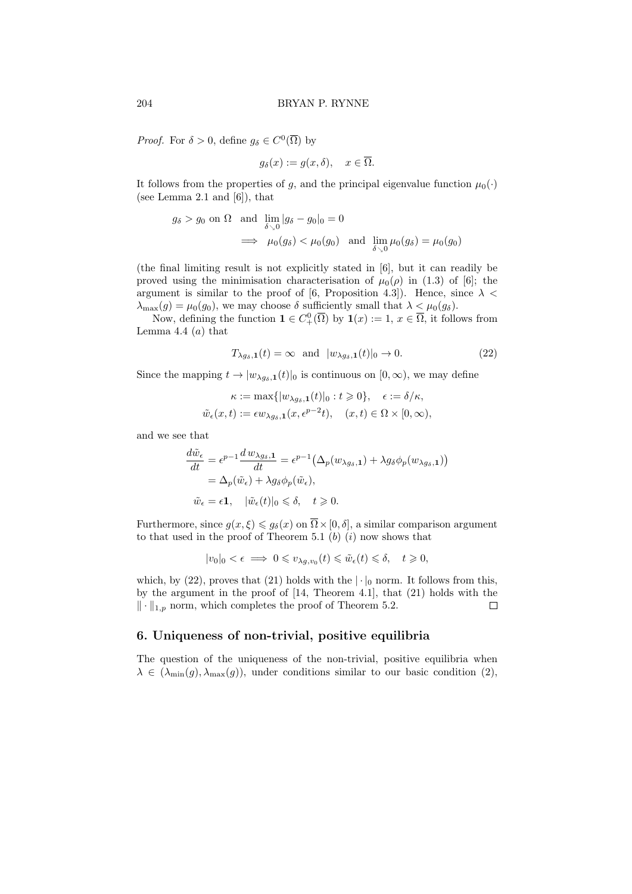*Proof.* For  $\delta > 0$ , define  $g_{\delta} \in C^{0}(\overline{\Omega})$  by

$$
g_{\delta}(x) := g(x, \delta), \quad x \in \overline{\Omega}.
$$

It follows from the properties of g, and the principal eigenvalue function  $\mu_0(\cdot)$ (see Lemma 2.1 and  $[6]$ ), that

$$
g_{\delta} > g_0 \text{ on } \Omega \text{ and } \lim_{\delta \searrow 0} |g_{\delta} - g_0|_0 = 0
$$
  

$$
\implies \mu_0(g_{\delta}) < \mu_0(g_0) \text{ and } \lim_{\delta \searrow 0} \mu_0(g_{\delta}) = \mu_0(g_0)
$$

(the final limiting result is not explicitly stated in [6], but it can readily be proved using the minimisation characterisation of  $\mu_0(\rho)$  in (1.3) of [6]; the argument is similar to the proof of [6, Proposition 4.3]). Hence, since  $\lambda$  <  $\lambda_{\max}(g) = \mu_0(g_0)$ , we may choose  $\delta$  sufficiently small that  $\lambda < \mu_0(g_\delta)$ .

Now, defining the function  $\mathbf{1} \in C^0_+(\overline{\Omega})$  by  $\mathbf{1}(x) := 1, x \in \overline{\Omega}$ , it follows from Lemma 4.4  $(a)$  that

$$
T_{\lambda g_{\delta},\mathbf{1}}(t) = \infty \quad \text{and} \quad |w_{\lambda g_{\delta},\mathbf{1}}(t)|_{0} \to 0. \tag{22}
$$

Since the mapping  $t \to |w_{\lambda g_{\delta},1}(t)|_0$  is continuous on  $[0,\infty)$ , we may define

$$
\begin{aligned} \kappa&:=\max\{|w_{\lambda gs,1}(t)|_0:t\geqslant 0\},\quad \epsilon:=\delta/\kappa,\\ \tilde{w}_\epsilon(x,t)&:=\epsilon w_{\lambda gs,1}(x,\epsilon^{p-2}t),\quad (x,t)\in\Omega\times[0,\infty), \end{aligned}
$$

and we see that

$$
\frac{d\tilde{w}_{\epsilon}}{dt} = \epsilon^{p-1} \frac{d w_{\lambda g_{\delta},1}}{dt} = \epsilon^{p-1} \left( \Delta_p(w_{\lambda g_{\delta},1}) + \lambda g_{\delta} \phi_p(w_{\lambda g_{\delta},1}) \right)
$$
  
=  $\Delta_p(\tilde{w}_{\epsilon}) + \lambda g_{\delta} \phi_p(\tilde{w}_{\epsilon}),$   
 $\tilde{w}_{\epsilon} = \epsilon \mathbf{1}, \quad |\tilde{w}_{\epsilon}(t)|_0 \leq \delta, \quad t \geq 0.$ 

Furthermore, since  $g(x,\xi) \leq g_\delta(x)$  on  $\overline{\Omega} \times [0,\delta]$ , a similar comparison argument to that used in the proof of Theorem 5.1  $(b)$   $(i)$  now shows that

$$
|v_0|_0 < \epsilon \implies 0 \leqslant v_{\lambda g,v_0}(t) \leqslant \tilde{w}_{\epsilon}(t) \leqslant \delta, \quad t \geqslant 0,
$$

which, by (22), proves that (21) holds with the  $|\cdot|_0$  norm. It follows from this, by the argument in the proof of [14, Theorem 4.1], that (21) holds with the  $\|\cdot\|_{1,p}$  norm, which completes the proof of Theorem 5.2.  $\Box$ 

# 6. Uniqueness of non-trivial, positive equilibria

The question of the uniqueness of the non-trivial, positive equilibria when  $\lambda \in (\lambda_{\min}(g), \lambda_{\max}(g))$ , under conditions similar to our basic condition (2),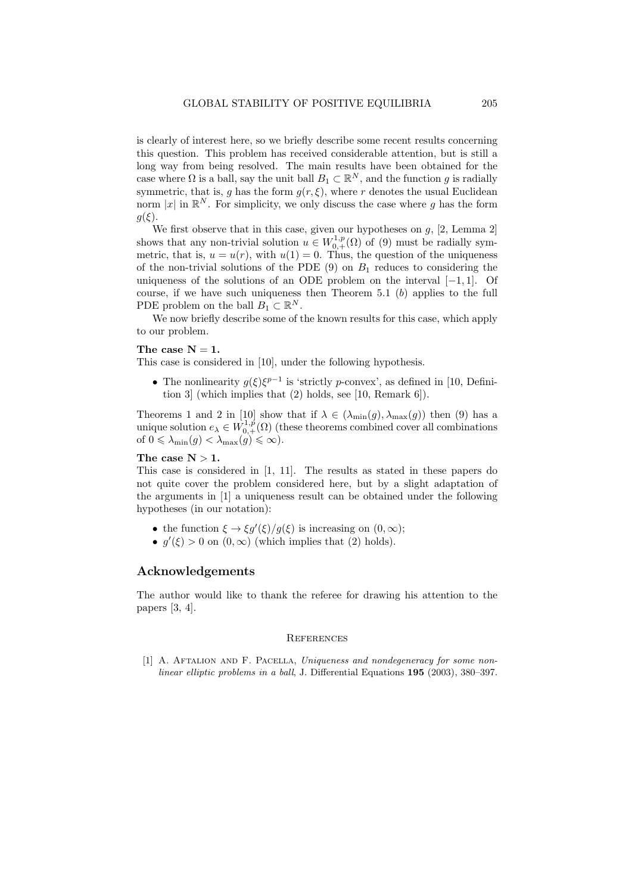is clearly of interest here, so we briefly describe some recent results concerning this question. This problem has received considerable attention, but is still a long way from being resolved. The main results have been obtained for the case where  $\Omega$  is a ball, say the unit ball  $B_1 \subset \mathbb{R}^N$ , and the function g is radially symmetric, that is, g has the form  $g(r, \xi)$ , where r denotes the usual Euclidean norm |x| in  $\mathbb{R}^N$ . For simplicity, we only discuss the case where g has the form  $q(\xi)$ .

We first observe that in this case, given our hypotheses on  $g$ , [2, Lemma 2] shows that any non-trivial solution  $u \in W^{1,p}_{0,+}(\Omega)$  of (9) must be radially symmetric, that is,  $u = u(r)$ , with  $u(1) = 0$ . Thus, the question of the uniqueness of the non-trivial solutions of the PDE  $(9)$  on  $B_1$  reduces to considering the uniqueness of the solutions of an ODE problem on the interval  $[-1, 1]$ . Of course, if we have such uniqueness then Theorem  $5.1$  (b) applies to the full PDE problem on the ball  $B_1 \subset \mathbb{R}^N$ .

We now briefly describe some of the known results for this case, which apply to our problem.

#### The case  $N = 1$ .

This case is considered in [10], under the following hypothesis.

• The nonlinearity  $g(\xi)\xi^{p-1}$  is 'strictly p-convex', as defined in [10, Definition 3] (which implies that (2) holds, see [10, Remark 6]).

Theorems 1 and 2 in [10] show that if  $\lambda \in (\lambda_{\min}(g), \lambda_{\max}(g))$  then (9) has a unique solution  $e_{\lambda} \in W^{1,p}_{0,+}(\Omega)$  (these theorems combined cover all combinations of  $0 \leq \lambda_{\min}(g) < \lambda_{\max}(g) \leq \infty$ ).

# The case  $N > 1$ .

This case is considered in [1, 11]. The results as stated in these papers do not quite cover the problem considered here, but by a slight adaptation of the arguments in [1] a uniqueness result can be obtained under the following hypotheses (in our notation):

- the function  $\xi \to \xi g'(\xi)/g(\xi)$  is increasing on  $(0,\infty)$ ;
- $g'(\xi) > 0$  on  $(0, \infty)$  (which implies that (2) holds).

### Acknowledgements

The author would like to thank the referee for drawing his attention to the papers [3, 4].

#### **REFERENCES**

[1] A. Aftalion and F. Pacella, Uniqueness and nondegeneracy for some nonlinear elliptic problems in a ball, J. Differential Equations 195 (2003), 380–397.